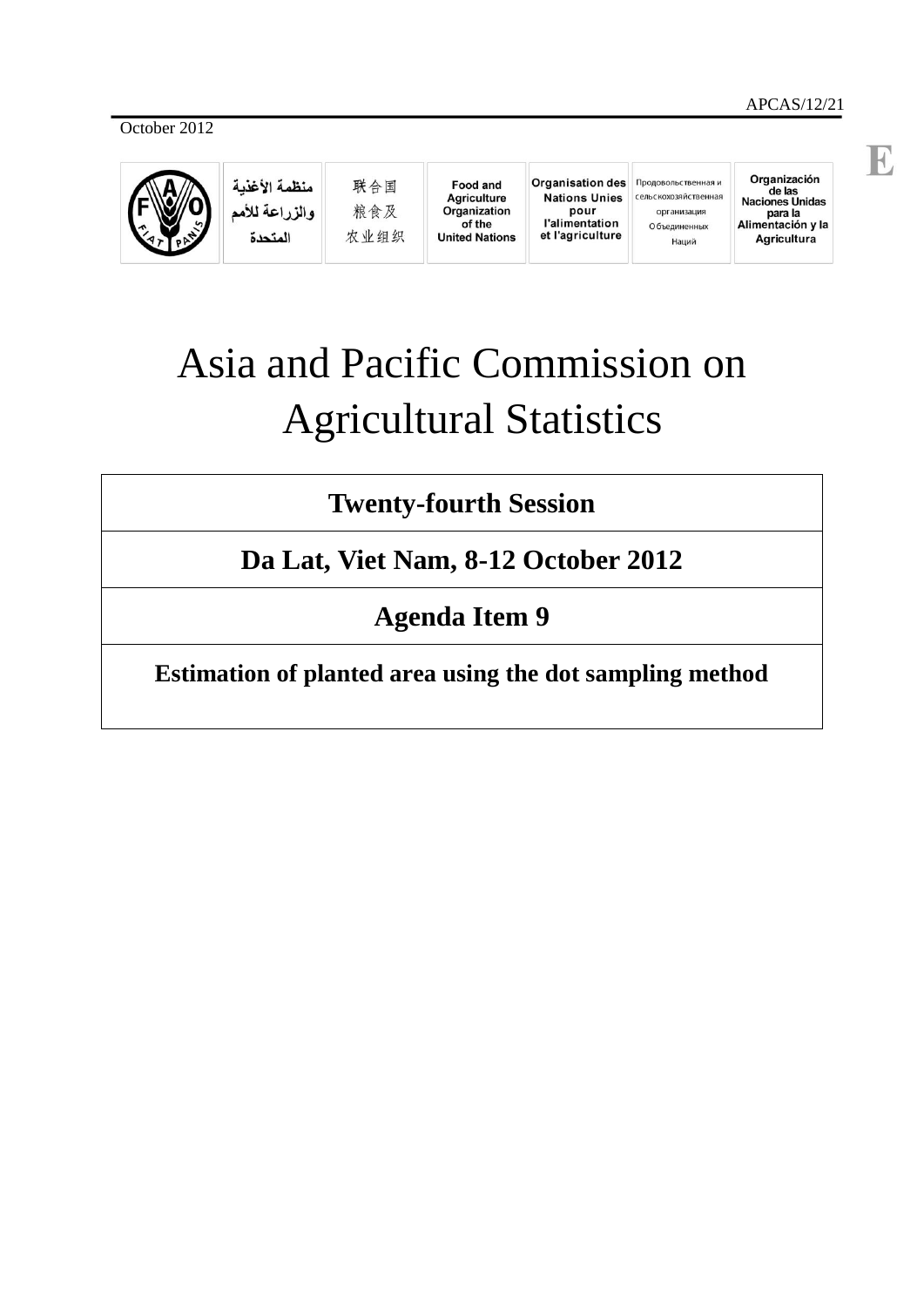E



منظمة الأغذية والزراعة للأمم المتحدة

联合国 粮食及 农业组织

**Food and Agriculture** Organization of the **United Nations** 

Organisation des Продовольственная и **Nations Unies** pour<br>l'alimentation et l'agriculture

сельскохозяйственная организация О бъединенных Наций

Organización de las<br>Naciones Unidas para la Alimentación y la Agricultura

# Asia and Pacific Commission on Agricultural Statistics

**Twenty-fourth Session**

**Da Lat, Viet Nam, 8-12 October 2012**

**Agenda Item 9**

**Estimation of planted area using the dot sampling method**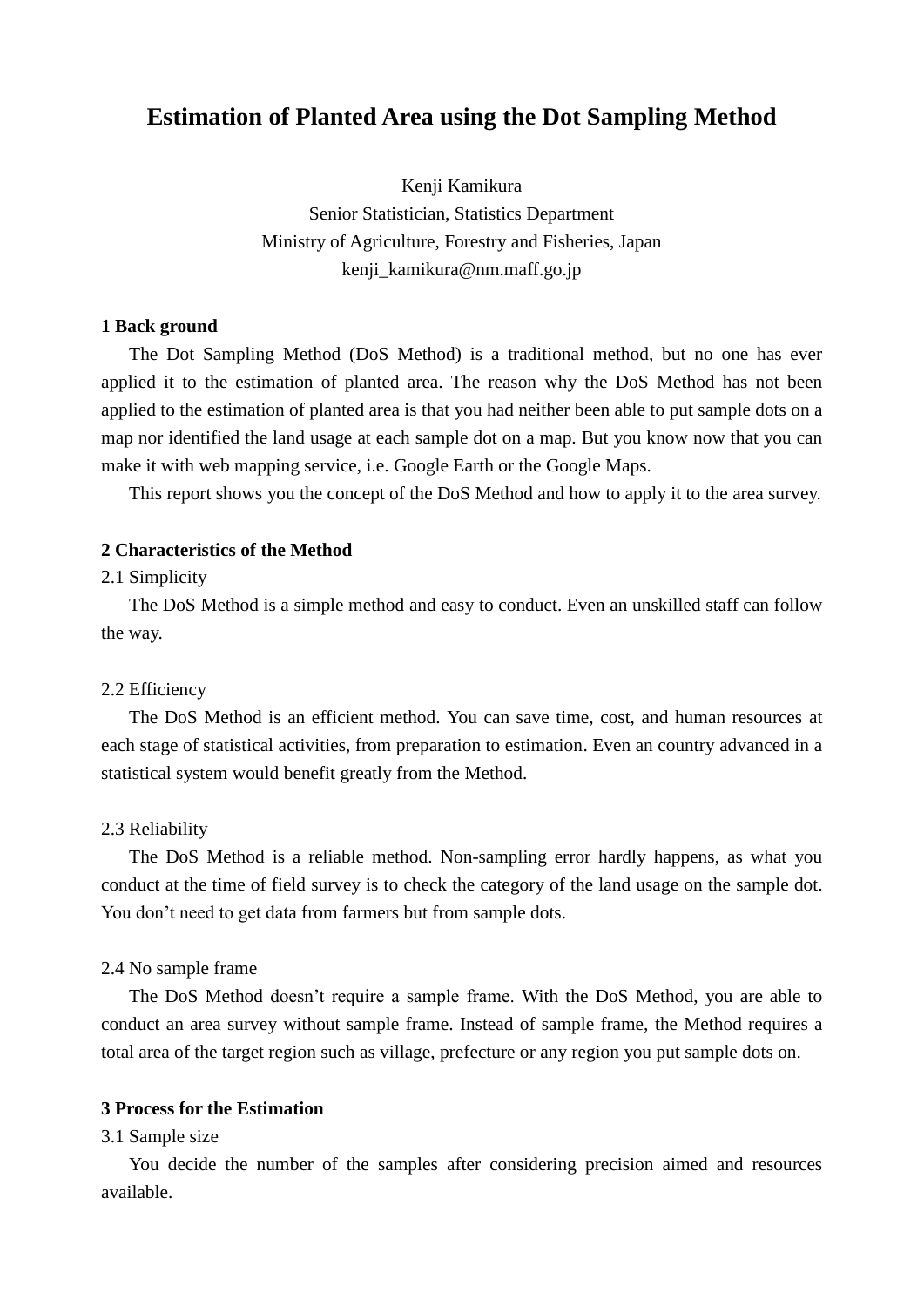## **Estimation of Planted Area using the Dot Sampling Method**

Kenji Kamikura Senior Statistician, Statistics Department Ministry of Agriculture, Forestry and Fisheries, Japan kenji\_kamikura@nm.maff.go.jp

#### **1 Back ground**

 The Dot Sampling Method (DoS Method) is a traditional method, but no one has ever applied it to the estimation of planted area. The reason why the DoS Method has not been applied to the estimation of planted area is that you had neither been able to put sample dots on a map nor identified the land usage at each sample dot on a map. But you know now that you can make it with web mapping service, i.e. Google Earth or the Google Maps.

This report shows you the concept of the DoS Method and how to apply it to the area survey.

#### **2 Characteristics of the Method**

#### 2.1 Simplicity

 The DoS Method is a simple method and easy to conduct. Even an unskilled staff can follow the way.

#### 2.2 Efficiency

 The DoS Method is an efficient method. You can save time, cost, and human resources at each stage of statistical activities, from preparation to estimation. Even an country advanced in a statistical system would benefit greatly from the Method.

#### 2.3 Reliability

 The DoS Method is a reliable method. Non-sampling error hardly happens, as what you conduct at the time of field survey is to check the category of the land usage on the sample dot. You don't need to get data from farmers but from sample dots.

#### 2.4 No sample frame

 The DoS Method doesn't require a sample frame. With the DoS Method, you are able to conduct an area survey without sample frame. Instead of sample frame, the Method requires a total area of the target region such as village, prefecture or any region you put sample dots on.

#### **3 Process for the Estimation**

#### 3.1 Sample size

 You decide the number of the samples after considering precision aimed and resources available.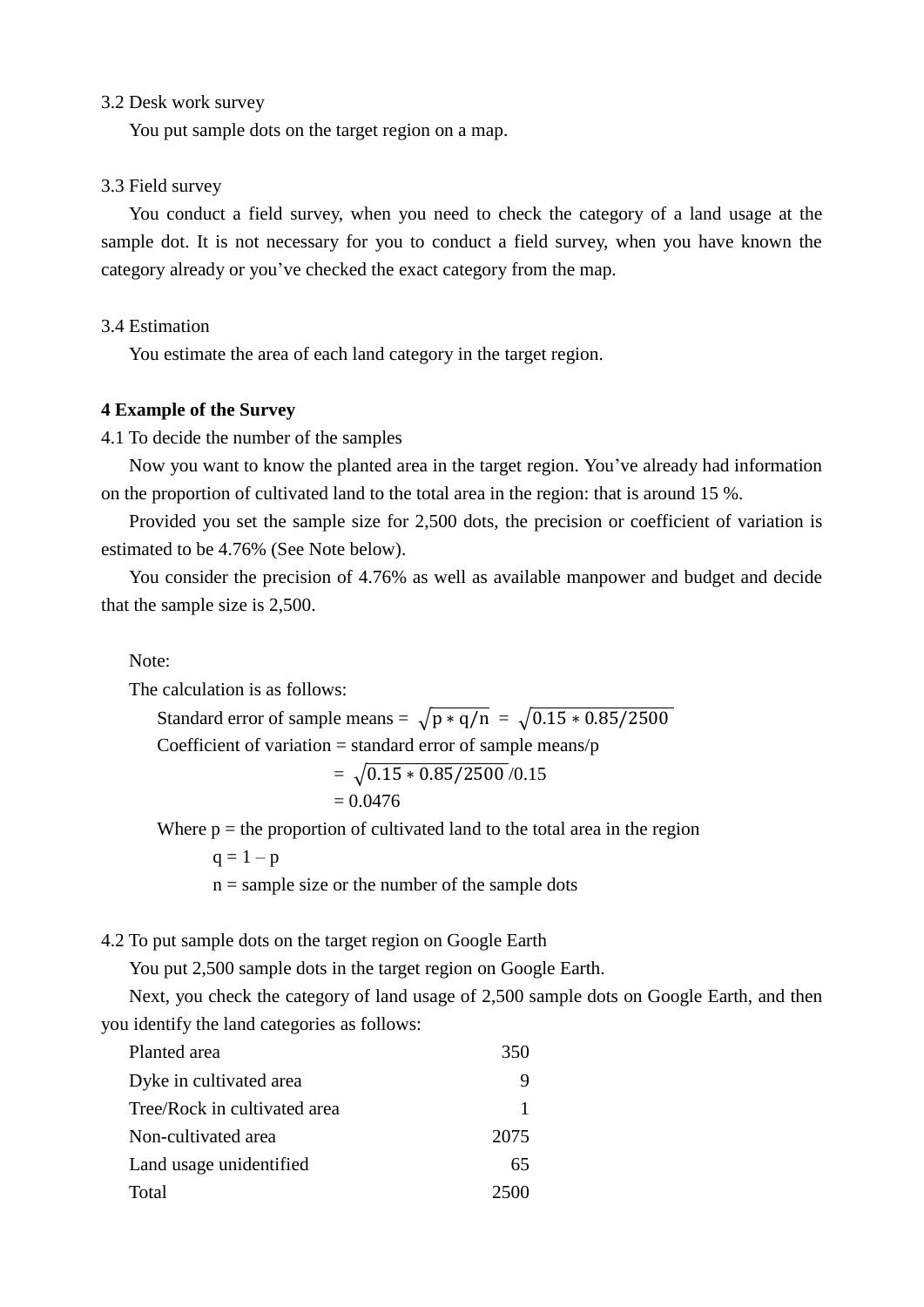#### 3.2 Desk work survey

You put sample dots on the target region on a map.

#### 3.3 Field survey

 You conduct a field survey, when you need to check the category of a land usage at the sample dot. It is not necessary for you to conduct a field survey, when you have known the category already or you've checked the exact category from the map.

#### 3.4 Estimation

You estimate the area of each land category in the target region.

#### **4 Example of the Survey**

4.1 To decide the number of the samples

 Now you want to know the planted area in the target region. You've already had information on the proportion of cultivated land to the total area in the region: that is around 15 %.

 Provided you set the sample size for 2,500 dots, the precision or coefficient of variation is estimated to be 4.76% (See Note below).

 You consider the precision of 4.76% as well as available manpower and budget and decide that the sample size is 2,500.

Note:

The calculation is as follows:

Standard error of sample means =  $\sqrt{p * q/n} = \sqrt{0.15 * 0.85/2500}$ Coefficient of variation  $=$  standard error of sample means/p

$$
= \sqrt{0.15 * 0.85 / 2500} / 0.15
$$

$$
= 0.0476
$$

Where  $p =$  the proportion of cultivated land to the total area in the region

 $q = 1 - p$ 

 $n =$  sample size or the number of the sample dots

4.2 To put sample dots on the target region on Google Earth

You put 2,500 sample dots in the target region on Google Earth.

 Next, you check the category of land usage of 2,500 sample dots on Google Earth, and then you identify the land categories as follows:

| Planted area                 | 350  |
|------------------------------|------|
| Dyke in cultivated area      |      |
| Tree/Rock in cultivated area |      |
| Non-cultivated area          | 2075 |
| Land usage unidentified      | 65   |
| Total                        |      |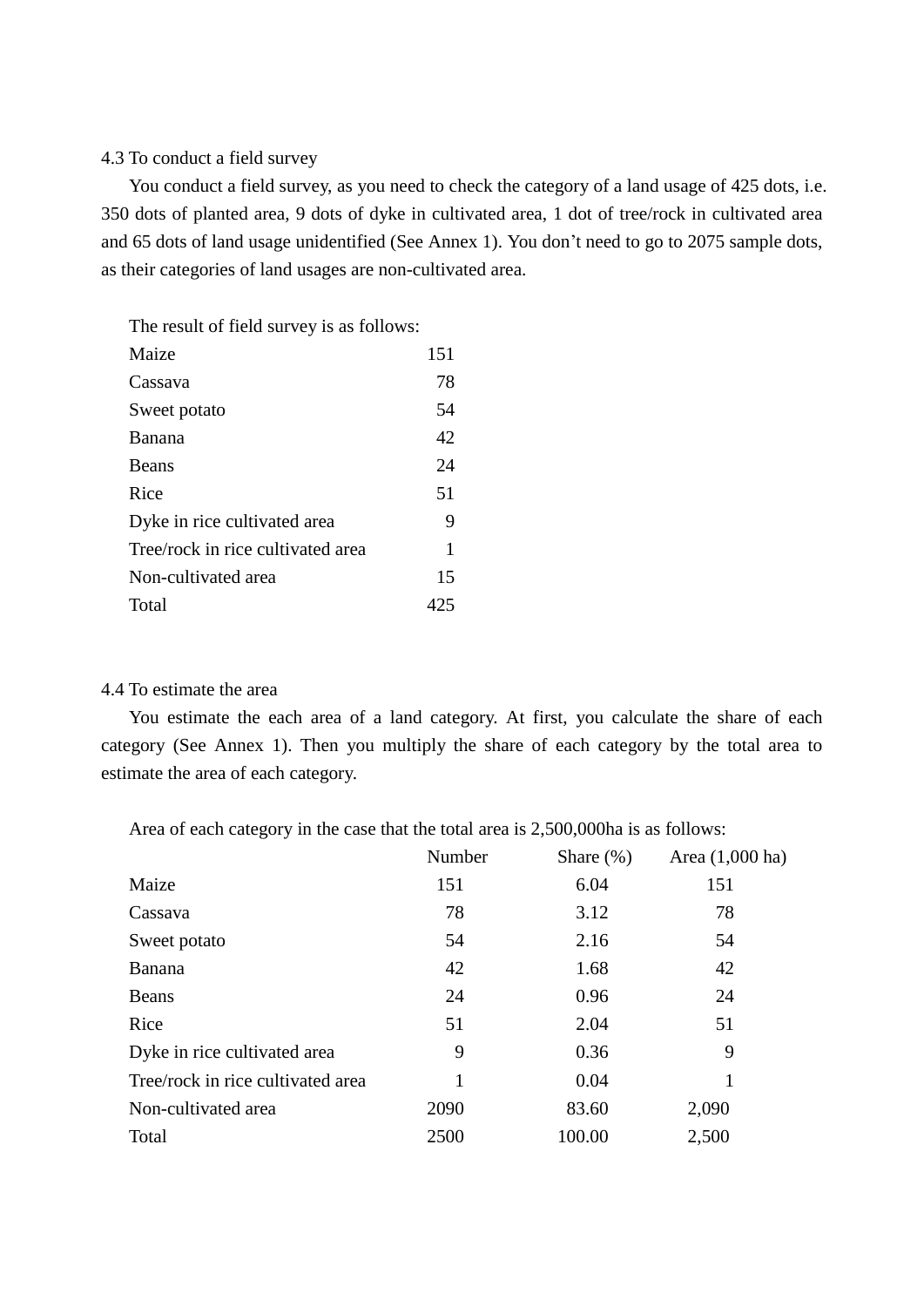#### 4.3 To conduct a field survey

 You conduct a field survey, as you need to check the category of a land usage of 425 dots, i.e. 350 dots of planted area, 9 dots of dyke in cultivated area, 1 dot of tree/rock in cultivated area and 65 dots of land usage unidentified (See Annex 1). You don't need to go to 2075 sample dots, as their categories of land usages are non-cultivated area.

The result of field survey is as follows:

| Maize                             | 151 |
|-----------------------------------|-----|
| Cassava                           | 78  |
| Sweet potato                      | 54  |
| Banana                            | 42  |
| <b>Beans</b>                      | 24  |
| Rice                              | 51  |
| Dyke in rice cultivated area      | 9   |
| Tree/rock in rice cultivated area | 1   |
| Non-cultivated area               | 15  |
| Total                             |     |

#### 4.4 To estimate the area

 You estimate the each area of a land category. At first, you calculate the share of each category (See Annex 1). Then you multiply the share of each category by the total area to estimate the area of each category.

Area of each category in the case that the total area is 2,500,000ha is as follows:

|                                   | Number | Share $(\%)$ | Area (1,000 ha) |
|-----------------------------------|--------|--------------|-----------------|
| Maize                             | 151    | 6.04         | 151             |
| Cassava                           | 78     | 3.12         | 78              |
| Sweet potato                      | 54     | 2.16         | 54              |
| Banana                            | 42     | 1.68         | 42              |
| <b>Beans</b>                      | 24     | 0.96         | 24              |
| Rice                              | 51     | 2.04         | 51              |
| Dyke in rice cultivated area      | 9      | 0.36         | 9               |
| Tree/rock in rice cultivated area | 1      | 0.04         |                 |
| Non-cultivated area               | 2090   | 83.60        | 2,090           |
| Total                             | 2500   | 100.00       | 2,500           |
|                                   |        |              |                 |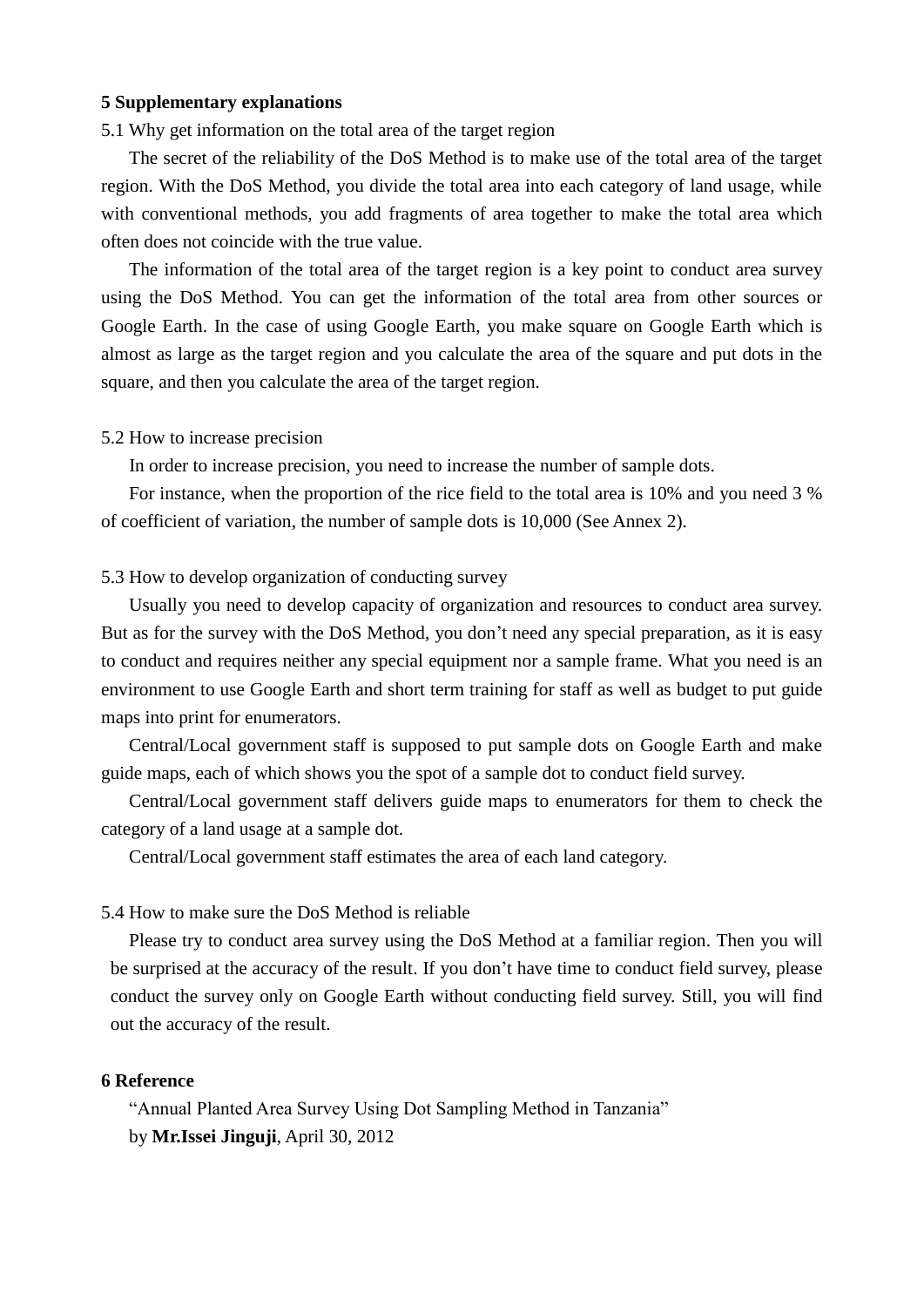#### **5 Supplementary explanations**

#### 5.1 Why get information on the total area of the target region

 The secret of the reliability of the DoS Method is to make use of the total area of the target region. With the DoS Method, you divide the total area into each category of land usage, while with conventional methods, you add fragments of area together to make the total area which often does not coincide with the true value.

 The information of the total area of the target region is a key point to conduct area survey using the DoS Method. You can get the information of the total area from other sources or Google Earth. In the case of using Google Earth, you make square on Google Earth which is almost as large as the target region and you calculate the area of the square and put dots in the square, and then you calculate the area of the target region.

#### 5.2 How to increase precision

In order to increase precision, you need to increase the number of sample dots.

 For instance, when the proportion of the rice field to the total area is 10% and you need 3 % of coefficient of variation, the number of sample dots is 10,000 (See Annex 2).

#### 5.3 How to develop organization of conducting survey

 Usually you need to develop capacity of organization and resources to conduct area survey. But as for the survey with the DoS Method, you don't need any special preparation, as it is easy to conduct and requires neither any special equipment nor a sample frame. What you need is an environment to use Google Earth and short term training for staff as well as budget to put guide maps into print for enumerators.

 Central/Local government staff is supposed to put sample dots on Google Earth and make guide maps, each of which shows you the spot of a sample dot to conduct field survey.

 Central/Local government staff delivers guide maps to enumerators for them to check the category of a land usage at a sample dot.

Central/Local government staff estimates the area of each land category.

#### 5.4 How to make sure the DoS Method is reliable

 Please try to conduct area survey using the DoS Method at a familiar region. Then you will be surprised at the accuracy of the result. If you don't have time to conduct field survey, please conduct the survey only on Google Earth without conducting field survey. Still, you will find out the accuracy of the result.

#### **6 Reference**

 "Annual Planted Area Survey Using Dot Sampling Method in Tanzania" by **Mr.Issei Jinguji**, April 30, 2012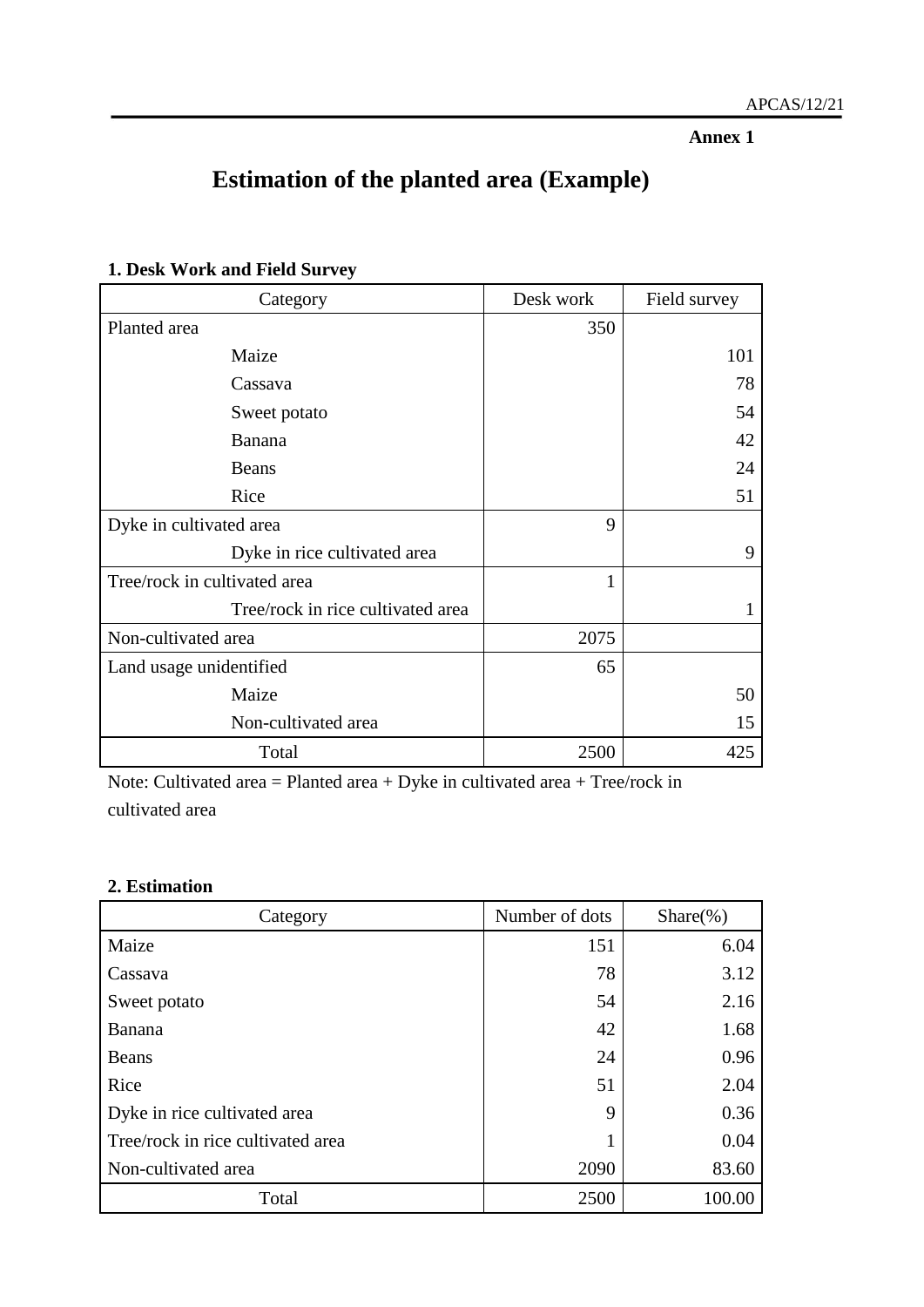**Annex 1**

## **Estimation of the planted area (Example)**

| Category                          | Desk work | Field survey |
|-----------------------------------|-----------|--------------|
| Planted area                      | 350       |              |
| Maize                             |           | 101          |
| Cassava                           |           | 78           |
| Sweet potato                      |           | 54           |
| Banana                            |           | 42           |
| Beans                             |           | 24           |
| Rice                              |           | 51           |
| Dyke in cultivated area           | 9         |              |
| Dyke in rice cultivated area      |           | 9            |
| Tree/rock in cultivated area      | 1         |              |
| Tree/rock in rice cultivated area |           | 1            |
| Non-cultivated area               | 2075      |              |
| Land usage unidentified           | 65        |              |
| Maize                             |           | 50           |
| Non-cultivated area               |           | 15           |
| Total                             | 2500      | 425          |

### **1. Desk Work and Field Survey**

Note: Cultivated area = Planted area + Dyke in cultivated area + Tree/rock in cultivated area

#### **2. Estimation**

| Category                          | Number of dots | $Share$ (%) |  |
|-----------------------------------|----------------|-------------|--|
| Maize                             | 151            | 6.04        |  |
| Cassava                           | 78             | 3.12        |  |
| Sweet potato                      | 54             | 2.16        |  |
| Banana                            | 42             | 1.68        |  |
| Beans                             | 24             | 0.96        |  |
| Rice                              | 51             | 2.04        |  |
| Dyke in rice cultivated area      | 9              | 0.36        |  |
| Tree/rock in rice cultivated area |                | 0.04        |  |
| Non-cultivated area               | 2090           | 83.60       |  |
| Total                             | 2500           | 100.00      |  |